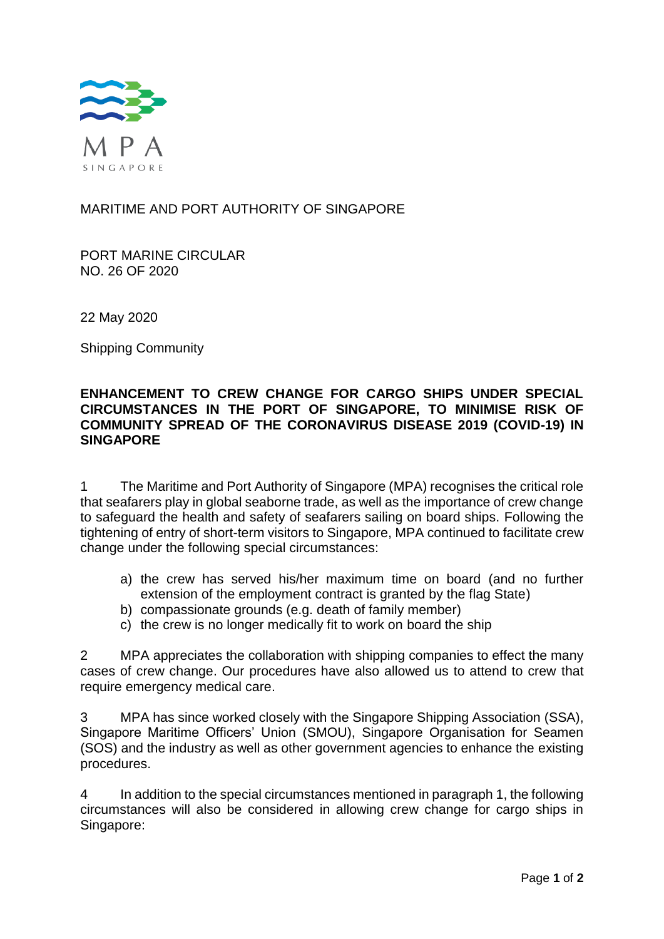

# MARITIME AND PORT AUTHORITY OF SINGAPORE

PORT MARINE CIRCULAR NO. 26 OF 2020

22 May 2020

Shipping Community

# **ENHANCEMENT TO CREW CHANGE FOR CARGO SHIPS UNDER SPECIAL CIRCUMSTANCES IN THE PORT OF SINGAPORE, TO MINIMISE RISK OF COMMUNITY SPREAD OF THE CORONAVIRUS DISEASE 2019 (COVID-19) IN SINGAPORE**

1 The Maritime and Port Authority of Singapore (MPA) recognises the critical role that seafarers play in global seaborne trade, as well as the importance of crew change to safeguard the health and safety of seafarers sailing on board ships. Following the tightening of entry of short-term visitors to Singapore, MPA continued to facilitate crew change under the following special circumstances:

- a) the crew has served his/her maximum time on board (and no further extension of the employment contract is granted by the flag State)
- b) compassionate grounds (e.g. death of family member)
- c) the crew is no longer medically fit to work on board the ship

2 MPA appreciates the collaboration with shipping companies to effect the many cases of crew change. Our procedures have also allowed us to attend to crew that require emergency medical care.

3 MPA has since worked closely with the Singapore Shipping Association (SSA), Singapore Maritime Officers' Union (SMOU), Singapore Organisation for Seamen (SOS) and the industry as well as other government agencies to enhance the existing procedures.

4 In addition to the special circumstances mentioned in paragraph 1, the following circumstances will also be considered in allowing crew change for cargo ships in Singapore: